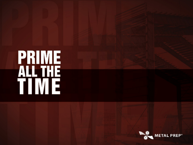# **PRIME<br>ALL THE**<br>TIME

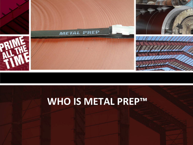

# **WHO IS METAL PREP™**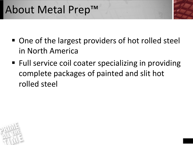# About Metal Prep™

- One of the largest providers of hot rolled steel in North America
- Full service coil coater specializing in providing complete packages of painted and slit hot rolled steel

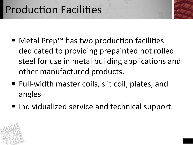# **Production Facilities**

- Metal Prep™ has two production facilities dedicated to providing prepainted hot rolled steel for use in metal building applications and other manufactured products.
- Full-width master coils, slit coil, plates, and angles
- Individualized service and technical support.

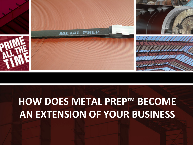# **HOW DOES METAL PREP™ BECOME AN EXTENSION OF YOUR BUSINESS**

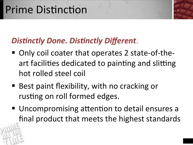## **Prime Distinction**

### **Distinctly Done. Distinctly Different.**

- Only coil coater that operates 2 state-of-theart facilities dedicated to painting and slitting hot rolled steel coil
- Best paint flexibility, with no cracking or rusting on roll formed edges.
- Uncompromising attention to detail ensures a final product that meets the highest standards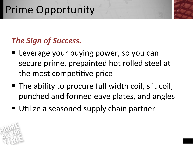# Prime Opportunity

### **The Sign of Success.**

- Leverage your buying power, so you can secure prime, prepainted hot rolled steel at the most competitive price
- The ability to procure full width coil, slit coil, punched and formed eave plates, and angles
- Utilize a seasoned supply chain partner

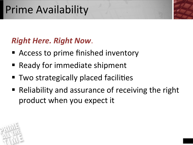# **Prime Availability**

### **Right Here. Right Now.**

- Access to prime finished inventory
- Ready for immediate shipment
- Two strategically placed facilities
- Reliability and assurance of receiving the right product when you expect it